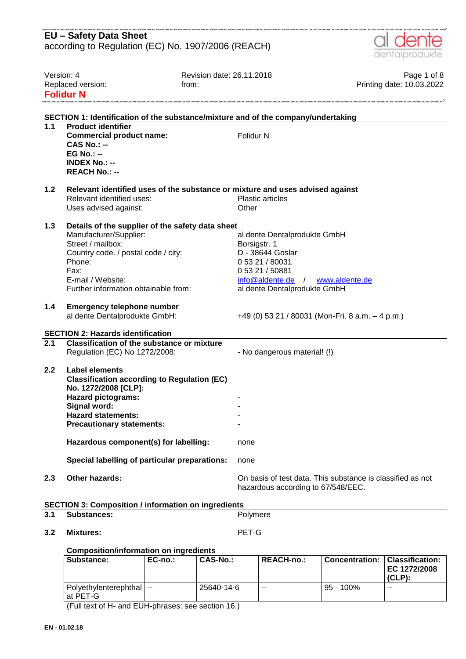|                                                              | <b>EU - Safety Data Sheet</b><br>according to Regulation (EC) No. 1907/2006 (REACH)                                                                                                                                   |                                                                                                                                                                                 |                                          |  |  |
|--------------------------------------------------------------|-----------------------------------------------------------------------------------------------------------------------------------------------------------------------------------------------------------------------|---------------------------------------------------------------------------------------------------------------------------------------------------------------------------------|------------------------------------------|--|--|
|                                                              |                                                                                                                                                                                                                       |                                                                                                                                                                                 | dentalprodukte                           |  |  |
| Version: 4<br>Replaced version:<br>from:<br><b>Folidur N</b> |                                                                                                                                                                                                                       | Revision date: 26.11.2018                                                                                                                                                       | Page 1 of 8<br>Printing date: 10.03.2022 |  |  |
|                                                              |                                                                                                                                                                                                                       | SECTION 1: Identification of the substance/mixture and of the company/undertaking                                                                                               |                                          |  |  |
| $\overline{1.1}$                                             | <b>Product identifier</b>                                                                                                                                                                                             |                                                                                                                                                                                 |                                          |  |  |
|                                                              | <b>Commercial product name:</b><br>$CAS No. : -$<br><b>EG No.: --</b><br><b>INDEX No.: --</b><br><b>REACH No.: --</b>                                                                                                 | Folidur N                                                                                                                                                                       |                                          |  |  |
| 1.2                                                          |                                                                                                                                                                                                                       | Relevant identified uses of the substance or mixture and uses advised against                                                                                                   |                                          |  |  |
|                                                              | Relevant identified uses:                                                                                                                                                                                             | <b>Plastic articles</b>                                                                                                                                                         |                                          |  |  |
|                                                              | Uses advised against:                                                                                                                                                                                                 | Other                                                                                                                                                                           |                                          |  |  |
| 1.3                                                          | Details of the supplier of the safety data sheet<br>Manufacturer/Supplier:<br>Street / mailbox:<br>Country code. / postal code / city:<br>Phone:<br>Fax:<br>E-mail / Website:<br>Further information obtainable from: | al dente Dentalprodukte GmbH<br>Borsigstr. 1<br>D - 38644 Goslar<br>0 53 21 / 80031<br>0 53 21 / 50881<br>$info@aldente.de$ /<br>www.aldente.de<br>al dente Dentalprodukte GmbH |                                          |  |  |
| $1.4$                                                        | <b>Emergency telephone number</b><br>al dente Dentalprodukte GmbH:                                                                                                                                                    | +49 (0) 53 21 / 80031 (Mon-Fri. 8 a.m. - 4 p.m.)                                                                                                                                |                                          |  |  |
|                                                              | <b>SECTION 2: Hazards identification</b>                                                                                                                                                                              |                                                                                                                                                                                 |                                          |  |  |
| 2.1                                                          | <b>Classification of the substance or mixture</b>                                                                                                                                                                     |                                                                                                                                                                                 |                                          |  |  |
|                                                              | Regulation (EC) No 1272/2008:                                                                                                                                                                                         | - No dangerous material! (!)                                                                                                                                                    |                                          |  |  |
| 2.2                                                          | Label elements<br><b>Classification according to Regulation (EC)</b><br>No. 1272/2008 [CLP]:<br><b>Hazard pictograms:</b><br>Signal word:<br><b>Hazard statements:</b><br><b>Precautionary statements:</b>            |                                                                                                                                                                                 |                                          |  |  |
|                                                              | Hazardous component(s) for labelling:                                                                                                                                                                                 | none                                                                                                                                                                            |                                          |  |  |
|                                                              | Special labelling of particular preparations:                                                                                                                                                                         | none                                                                                                                                                                            |                                          |  |  |
| 2.3                                                          | Other hazards:                                                                                                                                                                                                        | On basis of test data. This substance is classified as not<br>hazardous according to 67/548/EEC.                                                                                |                                          |  |  |
|                                                              | <b>SECTION 3: Composition / information on ingredients</b>                                                                                                                                                            |                                                                                                                                                                                 |                                          |  |  |
| 3.1                                                          | <b>Substances:</b>                                                                                                                                                                                                    | Polymere                                                                                                                                                                        |                                          |  |  |
| 3.2                                                          | <b>Mixtures:</b>                                                                                                                                                                                                      | PET-G                                                                                                                                                                           |                                          |  |  |

**Composition/information on ingredients**

| Substance:                            | $EC-no.$ | CAS-No.:   | <b>REACH-no.:</b> | <b>Concentration:</b> | Classification:<br>EC 1272/2008<br>$(CLP)$ : |
|---------------------------------------|----------|------------|-------------------|-----------------------|----------------------------------------------|
| Polyethylenterephthal  --<br>at PET-G |          | 25640-14-6 | --                | $95 - 100\%$          | $- -$                                        |

(Full text of H- and EUH-phrases: see section 16.)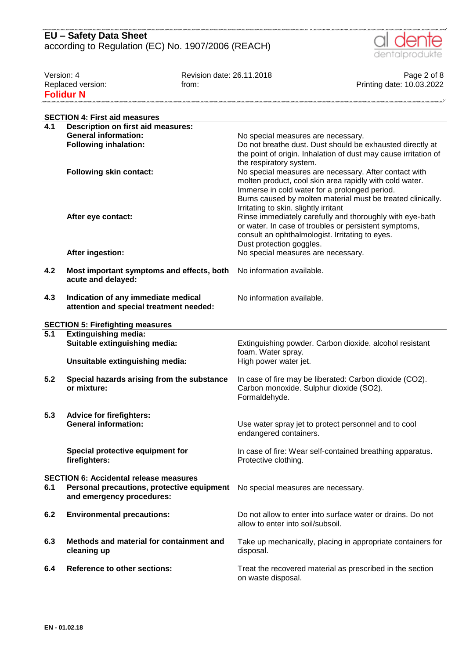

, no cho cho cho cho cho cho cho cho c

| Version: 4        | Revision date: 26.11.2018 | Page 2 of 8               |
|-------------------|---------------------------|---------------------------|
| Replaced version: | trom:                     | Printing date: 10.03.2022 |
| <b>Folidur N</b>  |                           |                           |

|                  | <b>SECTION 4: First aid measures</b>          |                                                                 |
|------------------|-----------------------------------------------|-----------------------------------------------------------------|
| 4.1              | <b>Description on first aid measures:</b>     |                                                                 |
|                  | <b>General information:</b>                   | No special measures are necessary.                              |
|                  | <b>Following inhalation:</b>                  | Do not breathe dust. Dust should be exhausted directly at       |
|                  |                                               | the point of origin. Inhalation of dust may cause irritation of |
|                  |                                               | the respiratory system.                                         |
|                  | <b>Following skin contact:</b>                | No special measures are necessary. After contact with           |
|                  |                                               | molten product, cool skin area rapidly with cold water.         |
|                  |                                               | Immerse in cold water for a prolonged period.                   |
|                  |                                               | Burns caused by molten material must be treated clinically.     |
|                  |                                               | Irritating to skin. slightly irritant                           |
|                  | After eye contact:                            | Rinse immediately carefully and thoroughly with eye-bath        |
|                  |                                               | or water. In case of troubles or persistent symptoms,           |
|                  |                                               | consult an ophthalmologist. Irritating to eyes.                 |
|                  |                                               | Dust protection goggles.                                        |
|                  | After ingestion:                              | No special measures are necessary.                              |
|                  |                                               |                                                                 |
| 4.2              | Most important symptoms and effects, both     | No information available.                                       |
|                  | acute and delayed:                            |                                                                 |
|                  |                                               | No information available.                                       |
| 4.3              | Indication of any immediate medical           |                                                                 |
|                  | attention and special treatment needed:       |                                                                 |
|                  | <b>SECTION 5: Firefighting measures</b>       |                                                                 |
| $\overline{5.1}$ | <b>Extinguishing media:</b>                   |                                                                 |
|                  | Suitable extinguishing media:                 | Extinguishing powder. Carbon dioxide. alcohol resistant         |
|                  |                                               | foam. Water spray.                                              |
|                  | Unsuitable extinguishing media:               | High power water jet.                                           |
|                  |                                               |                                                                 |
| 5.2              | Special hazards arising from the substance    | In case of fire may be liberated: Carbon dioxide (CO2).         |
|                  | or mixture:                                   | Carbon monoxide. Sulphur dioxide (SO2).                         |
|                  |                                               | Formaldehyde.                                                   |
|                  |                                               |                                                                 |
| 5.3              | <b>Advice for firefighters:</b>               |                                                                 |
|                  | <b>General information:</b>                   | Use water spray jet to protect personnel and to cool            |
|                  |                                               | endangered containers.                                          |
|                  |                                               |                                                                 |
|                  | Special protective equipment for              | In case of fire: Wear self-contained breathing apparatus.       |
|                  | firefighters:                                 | Protective clothing.                                            |
|                  | <b>SECTION 6: Accidental release measures</b> |                                                                 |
| 6.1              | Personal precautions, protective equipment    | No special measures are necessary.                              |
|                  | and emergency procedures:                     |                                                                 |
|                  |                                               |                                                                 |
| 6.2              | <b>Environmental precautions:</b>             | Do not allow to enter into surface water or drains. Do not      |
|                  |                                               | allow to enter into soil/subsoil.                               |
|                  |                                               |                                                                 |
| 6.3              | Methods and material for containment and      | Take up mechanically, placing in appropriate containers for     |
|                  | cleaning up                                   | disposal.                                                       |
|                  |                                               |                                                                 |
| 6.4              | <b>Reference to other sections:</b>           | Treat the recovered material as prescribed in the section       |
|                  |                                               | on waste disposal.                                              |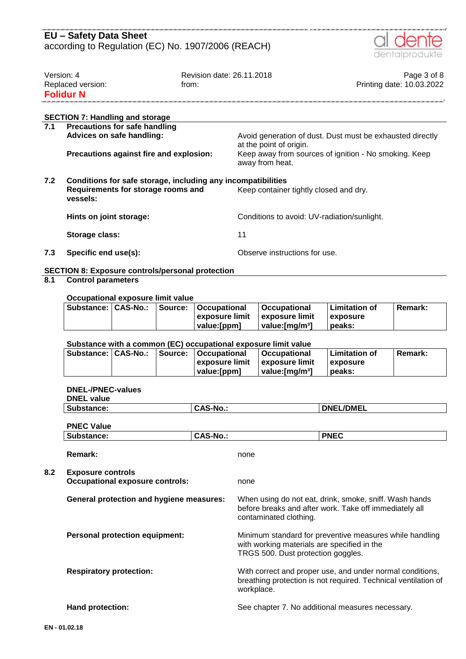#### ance ince incorporate incorporate incorporate in anciente **EU – Safety Data Sheet** according to Regulation (EC) No. 1907/2006 (REACH)



| Version: 4        | Revision date: 26.11.2018 | Page 3 of 8               |
|-------------------|---------------------------|---------------------------|
| Replaced version: | trom:                     | Printing date: 10.03.2022 |
| <b>Folidur N</b>  |                           |                           |
|                   |                           |                           |
|                   |                           |                           |

## **SECTION 7: Handling and storage**

| 7.1 | <b>Precautions for safe handling</b><br>Advices on safe handling:                                                                                        | Avoid generation of dust. Dust must be exhausted directly                                           |  |  |  |
|-----|----------------------------------------------------------------------------------------------------------------------------------------------------------|-----------------------------------------------------------------------------------------------------|--|--|--|
|     | Precautions against fire and explosion:                                                                                                                  | at the point of origin.<br>Keep away from sources of ignition - No smoking. Keep<br>away from heat. |  |  |  |
| 7.2 | Conditions for safe storage, including any incompatibilities<br>Requirements for storage rooms and<br>Keep container tightly closed and dry.<br>vessels: |                                                                                                     |  |  |  |
|     | Hints on joint storage:                                                                                                                                  | Conditions to avoid: UV-radiation/sunlight.                                                         |  |  |  |
|     | Storage class:                                                                                                                                           | 11                                                                                                  |  |  |  |
|     |                                                                                                                                                          |                                                                                                     |  |  |  |

**7.3 Specific end use(s):** Observe instructions for use.

### **SECTION 8: Exposure controls/personal protection**

## **8.1 Control parameters**

#### **Occupational exposure limit value**

|  | Substance:   CAS-No.:   Source:   Occupational | <b>∣Occupational</b>        | l Limitation of | <b>Remark:</b> |
|--|------------------------------------------------|-----------------------------|-----------------|----------------|
|  | l exposure limit                               | <b>⊥exposure limit</b>      | <b>exposure</b> |                |
|  | value:[ppm]                                    | value: [mɑ/m <sup>3</sup> ] | peaks:          |                |

### **Substance with a common (EC) occupational exposure limit value**

| Substance:   CAS-No.: |  | Source:   Occupational | <b>∣Occupational</b>        | Limitation of    | <b>Remark:</b> |
|-----------------------|--|------------------------|-----------------------------|------------------|----------------|
|                       |  | l exposure limit       | <b>∣exposure limit</b>      | <b>Lexposure</b> |                |
|                       |  | value:[ppm]            | value: [mɑ/m <sup>3</sup> ] | peaks:           |                |

#### **DNEL-/PNEC-values**

| Substance:                                                         | <b>CAS-No.:</b> | <b>DNEL/DMEL</b>                                                                                                                             |  |  |
|--------------------------------------------------------------------|-----------------|----------------------------------------------------------------------------------------------------------------------------------------------|--|--|
| <b>PNEC Value</b>                                                  |                 |                                                                                                                                              |  |  |
| Substance:                                                         | <b>CAS-No.:</b> | <b>PNEC</b>                                                                                                                                  |  |  |
| Remark:                                                            |                 | none                                                                                                                                         |  |  |
| <b>Exposure controls</b><br><b>Occupational exposure controls:</b> |                 | none                                                                                                                                         |  |  |
| <b>General protection and hygiene measures:</b>                    |                 | When using do not eat, drink, smoke, sniff. Wash hands<br>before breaks and after work. Take off immediately all<br>contaminated clothing.   |  |  |
| <b>Personal protection equipment:</b>                              |                 | Minimum standard for preventive measures while handling<br>with working materials are specified in the<br>TRGS 500. Dust protection goggles. |  |  |
| <b>Respiratory protection:</b>                                     |                 | With correct and proper use, and under normal conditions,<br>breathing protection is not required. Technical ventilation of<br>workplace.    |  |  |
| <b>Hand protection:</b>                                            |                 | See chapter 7. No additional measures necessary.                                                                                             |  |  |

**8.2 Exposure controls**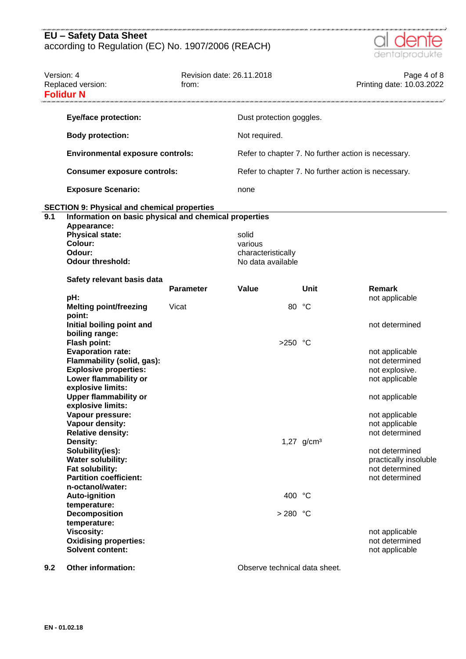

| Version: 4 | Replaced version:<br><b>Folidur N</b>                                                                                                                                                                                                                                                                                                                                                                                                                                                                          | Revision date: 26.11.2018<br>from: |                                                             |                 | Page 4 of 8<br>Printing date: 10.03.2022                                                                                                                                                                                                      |
|------------|----------------------------------------------------------------------------------------------------------------------------------------------------------------------------------------------------------------------------------------------------------------------------------------------------------------------------------------------------------------------------------------------------------------------------------------------------------------------------------------------------------------|------------------------------------|-------------------------------------------------------------|-----------------|-----------------------------------------------------------------------------------------------------------------------------------------------------------------------------------------------------------------------------------------------|
|            | <b>Eye/face protection:</b>                                                                                                                                                                                                                                                                                                                                                                                                                                                                                    |                                    | Dust protection goggles.                                    |                 |                                                                                                                                                                                                                                               |
|            | <b>Body protection:</b>                                                                                                                                                                                                                                                                                                                                                                                                                                                                                        |                                    | Not required.                                               |                 |                                                                                                                                                                                                                                               |
|            | <b>Environmental exposure controls:</b>                                                                                                                                                                                                                                                                                                                                                                                                                                                                        |                                    | Refer to chapter 7. No further action is necessary.         |                 |                                                                                                                                                                                                                                               |
|            | <b>Consumer exposure controls:</b>                                                                                                                                                                                                                                                                                                                                                                                                                                                                             |                                    | Refer to chapter 7. No further action is necessary.         |                 |                                                                                                                                                                                                                                               |
|            | <b>Exposure Scenario:</b>                                                                                                                                                                                                                                                                                                                                                                                                                                                                                      |                                    | none                                                        |                 |                                                                                                                                                                                                                                               |
|            | <b>SECTION 9: Physical and chemical properties</b>                                                                                                                                                                                                                                                                                                                                                                                                                                                             |                                    |                                                             |                 |                                                                                                                                                                                                                                               |
| 9.1        | Information on basic physical and chemical properties<br>Appearance:<br><b>Physical state:</b><br>Colour:<br>Odour:<br><b>Odour threshold:</b>                                                                                                                                                                                                                                                                                                                                                                 |                                    | solid<br>various<br>characteristically<br>No data available |                 |                                                                                                                                                                                                                                               |
|            | Safety relevant basis data                                                                                                                                                                                                                                                                                                                                                                                                                                                                                     | <b>Parameter</b>                   | Value                                                       | Unit            | Remark                                                                                                                                                                                                                                        |
|            | pH:<br><b>Melting point/freezing</b><br>point:                                                                                                                                                                                                                                                                                                                                                                                                                                                                 | Vicat                              | 80                                                          | °C              | not applicable                                                                                                                                                                                                                                |
|            | Initial boiling point and<br>boiling range:<br><b>Flash point:</b><br><b>Evaporation rate:</b><br>Flammability (solid, gas):<br><b>Explosive properties:</b><br>Lower flammability or<br>explosive limits:<br><b>Upper flammability or</b><br>explosive limits:<br>Vapour pressure:<br>Vapour density:<br><b>Relative density:</b><br>Density:<br>Solubility(ies):<br><b>Water solubility:</b><br>Fat solubility:<br><b>Partition coefficient:</b><br>n-octanol/water:<br><b>Auto-ignition</b><br>temperature: |                                    | $>250$ °C<br>400 °C                                         | 1,27 $g/cm^{3}$ | not determined<br>not applicable<br>not determined<br>not explosive.<br>not applicable<br>not applicable<br>not applicable<br>not applicable<br>not determined<br>not determined<br>practically insoluble<br>not determined<br>not determined |
|            | <b>Decomposition</b><br>temperature:<br><b>Viscosity:</b><br><b>Oxidising properties:</b><br><b>Solvent content:</b>                                                                                                                                                                                                                                                                                                                                                                                           |                                    | $>280$ °C                                                   |                 | not applicable<br>not determined<br>not applicable                                                                                                                                                                                            |

**9.2 Other information: Observe technical data sheet.**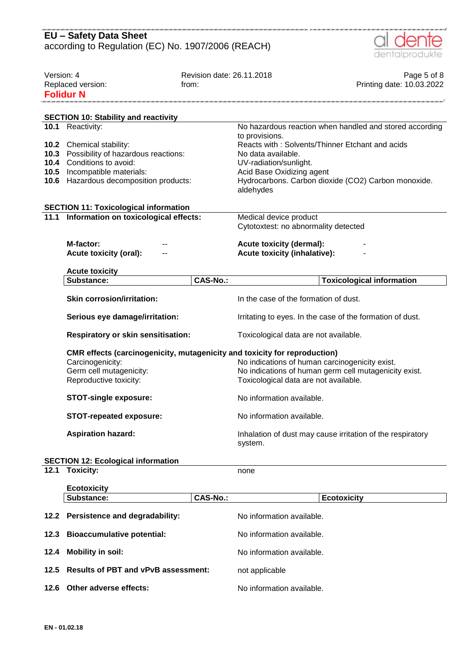|                                              | <b>EU - Safety Data Sheet</b>                                                                                                                           |                                    |                                                                                                          |                                                                                                        |  |
|----------------------------------------------|---------------------------------------------------------------------------------------------------------------------------------------------------------|------------------------------------|----------------------------------------------------------------------------------------------------------|--------------------------------------------------------------------------------------------------------|--|
|                                              | according to Regulation (EC) No. 1907/2006 (REACH)                                                                                                      |                                    |                                                                                                          | dentalprodukte                                                                                         |  |
| Version: 4                                   | Replaced version:<br><b>Folidur N</b>                                                                                                                   | Revision date: 26.11.2018<br>from: |                                                                                                          | Page 5 of 8<br>Printing date: 10.03.2022                                                               |  |
|                                              | <b>SECTION 10: Stability and reactivity</b>                                                                                                             |                                    |                                                                                                          |                                                                                                        |  |
|                                              | 10.1 Reactivity:                                                                                                                                        |                                    |                                                                                                          | No hazardous reaction when handled and stored according                                                |  |
| 10.3<br>10.4<br>10.5<br>10.6                 | 10.2 Chemical stability:<br>Possibility of hazardous reactions:<br>Conditions to avoid:<br>Incompatible materials:<br>Hazardous decomposition products: |                                    | to provisions.<br>No data available.<br>UV-radiation/sunlight.<br>Acid Base Oxidizing agent<br>aldehydes | Reacts with: Solvents/Thinner Etchant and acids<br>Hydrocarbons. Carbon dioxide (CO2) Carbon monoxide. |  |
| <b>SECTION 11: Toxicological information</b> |                                                                                                                                                         |                                    |                                                                                                          |                                                                                                        |  |
| 11.1                                         | Information on toxicological effects:                                                                                                                   |                                    | Medical device product<br>Cytotoxtest: no abnormality detected                                           |                                                                                                        |  |
|                                              | M-factor:<br><b>Acute toxicity (oral):</b>                                                                                                              |                                    | <b>Acute toxicity (dermal):</b><br><b>Acute toxicity (inhalative):</b>                                   |                                                                                                        |  |
|                                              | <b>Acute toxicity</b>                                                                                                                                   |                                    |                                                                                                          |                                                                                                        |  |
|                                              | Substance:                                                                                                                                              | <b>CAS-No.:</b>                    |                                                                                                          | <b>Toxicological information</b>                                                                       |  |
|                                              | <b>Skin corrosion/irritation:</b>                                                                                                                       |                                    | In the case of the formation of dust.                                                                    |                                                                                                        |  |
|                                              | Serious eye damage/irritation:                                                                                                                          |                                    | Irritating to eyes. In the case of the formation of dust.                                                |                                                                                                        |  |
|                                              | <b>Respiratory or skin sensitisation:</b>                                                                                                               |                                    | Toxicological data are not available.                                                                    |                                                                                                        |  |
|                                              | CMR effects (carcinogenicity, mutagenicity and toxicity for reproduction)<br>Carcinogenicity:<br>Germ cell mutagenicity:<br>Reproductive toxicity:      |                                    | No indications of human carcinogenicity exist.<br>Toxicological data are not available.                  | No indications of human germ cell mutagenicity exist.                                                  |  |
|                                              | <b>STOT-single exposure:</b>                                                                                                                            |                                    | No information available.                                                                                |                                                                                                        |  |
|                                              | <b>STOT-repeated exposure:</b>                                                                                                                          |                                    | No information available.                                                                                |                                                                                                        |  |
|                                              | <b>Aspiration hazard:</b>                                                                                                                               |                                    | system.                                                                                                  | Inhalation of dust may cause irritation of the respiratory                                             |  |
|                                              | <b>SECTION 12: Ecological information</b>                                                                                                               |                                    |                                                                                                          |                                                                                                        |  |
| 12.1                                         | <b>Toxicity:</b>                                                                                                                                        |                                    | none                                                                                                     |                                                                                                        |  |
|                                              | <b>Ecotoxicity</b>                                                                                                                                      |                                    |                                                                                                          |                                                                                                        |  |
|                                              | Substance:                                                                                                                                              | <b>CAS-No.:</b>                    |                                                                                                          | <b>Ecotoxicity</b>                                                                                     |  |
| 12.2                                         | <b>Persistence and degradability:</b>                                                                                                                   |                                    | No information available.                                                                                |                                                                                                        |  |
| 12.3                                         | <b>Bioaccumulative potential:</b>                                                                                                                       |                                    | No information available.                                                                                |                                                                                                        |  |
| 12.4                                         | <b>Mobility in soil:</b>                                                                                                                                |                                    | No information available.                                                                                |                                                                                                        |  |
| 12.5                                         | <b>Results of PBT and vPvB assessment:</b>                                                                                                              |                                    | not applicable                                                                                           |                                                                                                        |  |

**12.6 Other adverse effects:** No information available.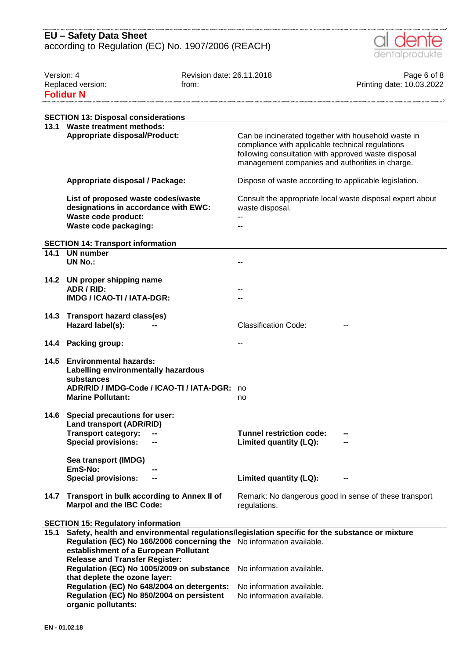

| Version: 4 | Replaced version:<br><b>Folidur N</b>                                                                                                                       | Revision date: 26.11.2018<br>from: |                                                                                                                                                                                                                   | Page 6 of 8<br>Printing date: 10.03.2022 |
|------------|-------------------------------------------------------------------------------------------------------------------------------------------------------------|------------------------------------|-------------------------------------------------------------------------------------------------------------------------------------------------------------------------------------------------------------------|------------------------------------------|
|            |                                                                                                                                                             |                                    |                                                                                                                                                                                                                   |                                          |
|            | <b>SECTION 13: Disposal considerations</b>                                                                                                                  |                                    |                                                                                                                                                                                                                   |                                          |
| 13.1       | <b>Waste treatment methods:</b>                                                                                                                             |                                    |                                                                                                                                                                                                                   |                                          |
|            | <b>Appropriate disposal/Product:</b>                                                                                                                        |                                    | Can be incinerated together with household waste in<br>compliance with applicable technical regulations<br>following consultation with approved waste disposal<br>management companies and authorities in charge. |                                          |
|            | Appropriate disposal / Package:                                                                                                                             |                                    | Dispose of waste according to applicable legislation.                                                                                                                                                             |                                          |
|            | List of proposed waste codes/waste<br>designations in accordance with EWC:                                                                                  |                                    | Consult the appropriate local waste disposal expert about<br>waste disposal.                                                                                                                                      |                                          |
|            | Waste code product:<br>Waste code packaging:                                                                                                                |                                    |                                                                                                                                                                                                                   |                                          |
|            |                                                                                                                                                             |                                    |                                                                                                                                                                                                                   |                                          |
|            | <b>SECTION 14: Transport information</b>                                                                                                                    |                                    |                                                                                                                                                                                                                   |                                          |
| 14.1       | <b>UN number</b>                                                                                                                                            |                                    |                                                                                                                                                                                                                   |                                          |
|            | <b>UN No.:</b>                                                                                                                                              |                                    |                                                                                                                                                                                                                   |                                          |
|            | 14.2 UN proper shipping name                                                                                                                                |                                    |                                                                                                                                                                                                                   |                                          |
|            | ADR / RID:                                                                                                                                                  |                                    |                                                                                                                                                                                                                   |                                          |
|            | IMDG / ICAO-TI / IATA-DGR:                                                                                                                                  |                                    |                                                                                                                                                                                                                   |                                          |
| 14.3       | Transport hazard class(es)                                                                                                                                  |                                    |                                                                                                                                                                                                                   |                                          |
|            | Hazard label(s):                                                                                                                                            |                                    | <b>Classification Code:</b>                                                                                                                                                                                       |                                          |
| 14.4       | <b>Packing group:</b>                                                                                                                                       |                                    | ۰.                                                                                                                                                                                                                |                                          |
| 14.5       | <b>Environmental hazards:</b><br>Labelling environmentally hazardous<br>substances<br>ADR/RID / IMDG-Code / ICAO-TI / IATA-DGR:<br><b>Marine Pollutant:</b> |                                    | no<br>no                                                                                                                                                                                                          |                                          |
|            | 14.6 Special precautions for user:                                                                                                                          |                                    |                                                                                                                                                                                                                   |                                          |
|            | <b>Land transport (ADR/RID)</b>                                                                                                                             |                                    |                                                                                                                                                                                                                   |                                          |
|            | <b>Transport category:</b><br><b>Special provisions:</b><br>--                                                                                              |                                    | <b>Tunnel restriction code:</b><br>Limited quantity (LQ):                                                                                                                                                         |                                          |
|            |                                                                                                                                                             |                                    |                                                                                                                                                                                                                   |                                          |
|            | Sea transport (IMDG)                                                                                                                                        |                                    |                                                                                                                                                                                                                   |                                          |
|            | EmS-No:                                                                                                                                                     |                                    |                                                                                                                                                                                                                   |                                          |
|            | <b>Special provisions:</b>                                                                                                                                  |                                    | Limited quantity (LQ):                                                                                                                                                                                            |                                          |
| 14.7       | Transport in bulk according to Annex II of<br><b>Marpol and the IBC Code:</b>                                                                               |                                    | Remark: No dangerous good in sense of these transport<br>regulations.                                                                                                                                             |                                          |
|            | <b>SECTION 15: Regulatory information</b>                                                                                                                   |                                    |                                                                                                                                                                                                                   |                                          |
| 15.1       | Safety, health and environmental regulations/legislation specific for the substance or mixture                                                              |                                    |                                                                                                                                                                                                                   |                                          |
|            | Regulation (EC) No 166/2006 concerning the No information available.                                                                                        |                                    |                                                                                                                                                                                                                   |                                          |
|            | establishment of a European Pollutant                                                                                                                       |                                    |                                                                                                                                                                                                                   |                                          |
|            | <b>Release and Transfer Register:</b><br>Regulation (EC) No 1005/2009 on substance                                                                          |                                    | No information available.                                                                                                                                                                                         |                                          |
|            | that deplete the ozone layer:                                                                                                                               |                                    |                                                                                                                                                                                                                   |                                          |
|            | Regulation (EC) No 648/2004 on detergents:                                                                                                                  |                                    | No information available.                                                                                                                                                                                         |                                          |
|            | Regulation (EC) No 850/2004 on persistent<br>organic pollutants:                                                                                            |                                    | No information available.                                                                                                                                                                                         |                                          |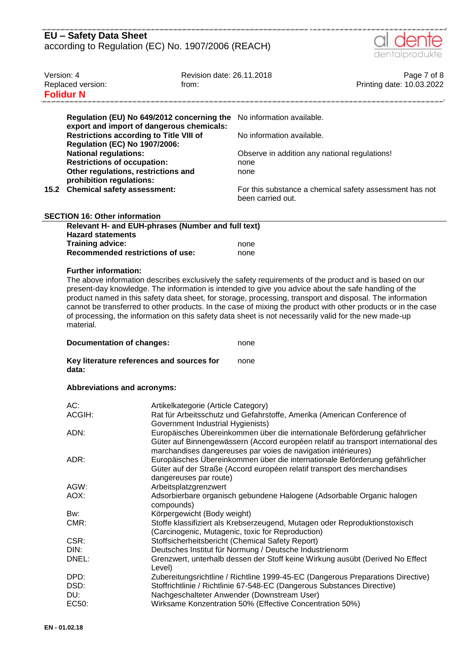| EU - Safety Data Sheet                             |  |
|----------------------------------------------------|--|
| according to Regulation (EC) No. 1907/2006 (REACH) |  |



| Version: 4 | Replaced version:<br><b>Folidur N</b>                                                                                                                                                                                                                                                                                                                                                                                                                                                                                                                                                                                                         | Revision date: 26.11.2018<br>from:                                                                                                                                                                                                                 |                                                                                                                                                                  | Page 7 of 8<br>Printing date: 10.03.2022 |  |
|------------|-----------------------------------------------------------------------------------------------------------------------------------------------------------------------------------------------------------------------------------------------------------------------------------------------------------------------------------------------------------------------------------------------------------------------------------------------------------------------------------------------------------------------------------------------------------------------------------------------------------------------------------------------|----------------------------------------------------------------------------------------------------------------------------------------------------------------------------------------------------------------------------------------------------|------------------------------------------------------------------------------------------------------------------------------------------------------------------|------------------------------------------|--|
|            | Regulation (EU) No 649/2012 concerning the<br>export and import of dangerous chemicals:<br><b>Restrictions according to Title VIII of</b><br><b>Regulation (EC) No 1907/2006:</b><br><b>National regulations:</b>                                                                                                                                                                                                                                                                                                                                                                                                                             |                                                                                                                                                                                                                                                    | No information available.<br>No information available.<br>Observe in addition any national regulations!                                                          |                                          |  |
|            | <b>Restrictions of occupation:</b><br>Other regulations, restrictions and<br>prohibition regulations:<br>15.2 Chemical safety assessment:                                                                                                                                                                                                                                                                                                                                                                                                                                                                                                     |                                                                                                                                                                                                                                                    | none<br>none<br>For this substance a chemical safety assessment has not<br>been carried out.                                                                     |                                          |  |
|            |                                                                                                                                                                                                                                                                                                                                                                                                                                                                                                                                                                                                                                               |                                                                                                                                                                                                                                                    |                                                                                                                                                                  |                                          |  |
|            | <b>SECTION 16: Other information</b>                                                                                                                                                                                                                                                                                                                                                                                                                                                                                                                                                                                                          |                                                                                                                                                                                                                                                    |                                                                                                                                                                  |                                          |  |
|            | Relevant H- and EUH-phrases (Number and full text)<br><b>Hazard statements</b>                                                                                                                                                                                                                                                                                                                                                                                                                                                                                                                                                                |                                                                                                                                                                                                                                                    |                                                                                                                                                                  |                                          |  |
|            | <b>Training advice:</b>                                                                                                                                                                                                                                                                                                                                                                                                                                                                                                                                                                                                                       |                                                                                                                                                                                                                                                    | none                                                                                                                                                             |                                          |  |
|            | <b>Recommended restrictions of use:</b>                                                                                                                                                                                                                                                                                                                                                                                                                                                                                                                                                                                                       |                                                                                                                                                                                                                                                    | none                                                                                                                                                             |                                          |  |
|            | <b>Further information:</b><br>The above information describes exclusively the safety requirements of the product and is based on our<br>present-day knowledge. The information is intended to give you advice about the safe handling of the<br>product named in this safety data sheet, for storage, processing, transport and disposal. The information<br>cannot be transferred to other products. In the case of mixing the product with other products or in the case<br>of processing, the information on this safety data sheet is not necessarily valid for the new made-up<br>material.<br><b>Documentation of changes:</b><br>none |                                                                                                                                                                                                                                                    |                                                                                                                                                                  |                                          |  |
|            | Key literature references and sources for<br>none<br>data:                                                                                                                                                                                                                                                                                                                                                                                                                                                                                                                                                                                    |                                                                                                                                                                                                                                                    |                                                                                                                                                                  |                                          |  |
|            | <b>Abbreviations and acronyms:</b>                                                                                                                                                                                                                                                                                                                                                                                                                                                                                                                                                                                                            |                                                                                                                                                                                                                                                    |                                                                                                                                                                  |                                          |  |
|            | AC:<br>ACGIH:                                                                                                                                                                                                                                                                                                                                                                                                                                                                                                                                                                                                                                 | Artikelkategorie (Article Category)<br>Rat für Arbeitsschutz und Gefahrstoffe, Amerika (American Conference of<br>Government Industrial Hygienists)                                                                                                |                                                                                                                                                                  |                                          |  |
|            | ADN:                                                                                                                                                                                                                                                                                                                                                                                                                                                                                                                                                                                                                                          |                                                                                                                                                                                                                                                    | Europäisches Übereinkommen über die internationale Beförderung gefährlicher<br>Güter auf Binnengewässern (Accord européen relatif au transport international des |                                          |  |
|            | ADR:                                                                                                                                                                                                                                                                                                                                                                                                                                                                                                                                                                                                                                          | marchandises dangereuses par voies de navigation intérieures)<br>Europäisches Übereinkommen über die internationale Beförderung gefährlicher<br>Güter auf der Straße (Accord européen relatif transport des merchandises<br>dangereuses par route) |                                                                                                                                                                  |                                          |  |
|            | AGW:                                                                                                                                                                                                                                                                                                                                                                                                                                                                                                                                                                                                                                          | Arbeitsplatzgrenzwert                                                                                                                                                                                                                              |                                                                                                                                                                  |                                          |  |
|            | AOX:                                                                                                                                                                                                                                                                                                                                                                                                                                                                                                                                                                                                                                          | Adsorbierbare organisch gebundene Halogene (Adsorbable Organic halogen<br>compounds)                                                                                                                                                               |                                                                                                                                                                  |                                          |  |
|            | Bw:                                                                                                                                                                                                                                                                                                                                                                                                                                                                                                                                                                                                                                           | Körpergewicht (Body weight)                                                                                                                                                                                                                        |                                                                                                                                                                  |                                          |  |
|            | CMR:                                                                                                                                                                                                                                                                                                                                                                                                                                                                                                                                                                                                                                          | Stoffe klassifiziert als Krebserzeugend, Mutagen oder Reproduktionstoxisch<br>(Carcinogenic, Mutagenic, toxic for Reproduction)                                                                                                                    |                                                                                                                                                                  |                                          |  |
|            | CSR:                                                                                                                                                                                                                                                                                                                                                                                                                                                                                                                                                                                                                                          |                                                                                                                                                                                                                                                    | Stoffsicherheitsbericht (Chemical Safety Report)                                                                                                                 |                                          |  |
|            | DIN:<br>DNEL:                                                                                                                                                                                                                                                                                                                                                                                                                                                                                                                                                                                                                                 | l evel)                                                                                                                                                                                                                                            | Deutsches Institut für Normung / Deutsche Industrienorm<br>Grenzwert, unterhalb dessen der Stoff keine Wirkung ausübt (Derived No Effect                         |                                          |  |